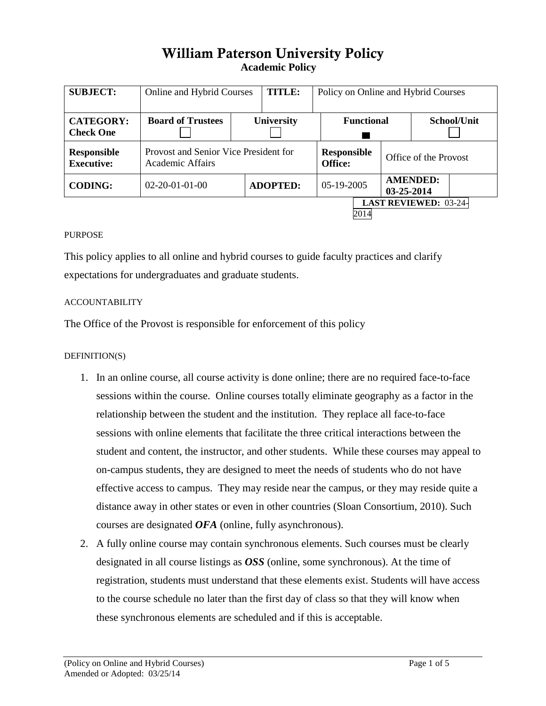# William Paterson University Policy**Academic Policy**

| <b>SUBJECT:</b>                         | Online and Hybrid Courses                                 |                   | <b>TITLE:</b>   |  | Policy on Online and Hybrid Courses |  |                               |             |  |
|-----------------------------------------|-----------------------------------------------------------|-------------------|-----------------|--|-------------------------------------|--|-------------------------------|-------------|--|
| <b>CATEGORY:</b><br><b>Check One</b>    | <b>Board of Trustees</b>                                  | <b>University</b> |                 |  | <b>Functional</b>                   |  |                               | School/Unit |  |
| <b>Responsible</b><br><b>Executive:</b> | Provost and Senior Vice President for<br>Academic Affairs |                   |                 |  | Responsible<br><b>Office:</b>       |  | Office of the Provost         |             |  |
| <b>CODING:</b>                          | $02 - 20 - 01 - 01 - 00$                                  |                   | <b>ADOPTED:</b> |  | 05-19-2005                          |  | <b>AMENDED:</b><br>03-25-2014 |             |  |
| <b>LAST REVIEWED: 03-24-</b><br>2014    |                                                           |                   |                 |  |                                     |  |                               |             |  |

### PURPOSE

This policy applies to all online and hybrid courses to guide faculty practices and clarify expectations for undergraduates and graduate students.

#### ACCOUNTABILITY

The Office of the Provost is responsible for enforcement of this policy

#### DEFINITION(S)

- 1. In an online course, all course activity is done online; there are no required face-to-face sessions within the course. Online courses totally eliminate geography as a factor in the relationship between the student and the institution. They replace all face-to-face sessions with online elements that facilitate the three critical interactions between the student and content, the instructor, and other students. While these courses may appeal to on-campus students, they are designed to meet the needs of students who do not have effective access to campus. They may reside near the campus, or they may reside quite a distance away in other states or even in other countries (Sloan Consortium, 2010). Such courses are designated *OFA* (online, fully asynchronous).
- 2. A fully online course may contain synchronous elements. Such courses must be clearly designated in all course listings as *OSS* (online, some synchronous). At the time of registration, students must understand that these elements exist. Students will have access to the course schedule no later than the first day of class so that they will know when these synchronous elements are scheduled and if this is acceptable.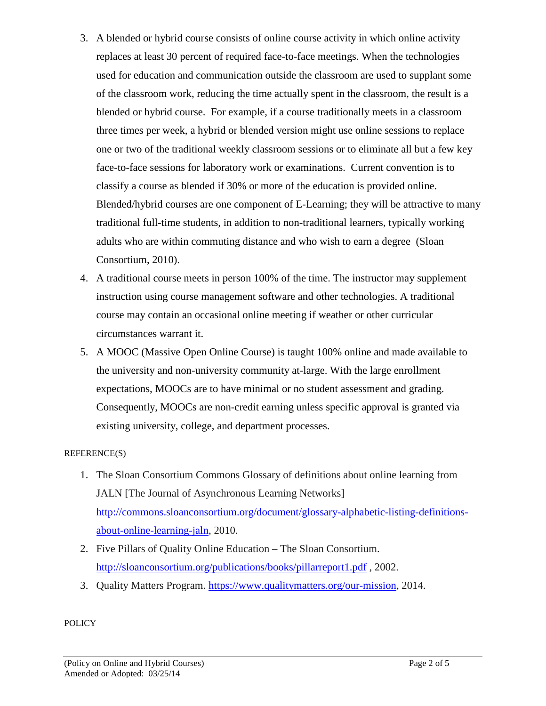- 3. A blended or hybrid course consists of online course activity in which online activity replaces at least 30 percent of required face-to-face meetings. When the technologies used for education and communication outside the classroom are used to supplant some of the classroom work, reducing the time actually spent in the classroom, the result is a blended or hybrid course. For example, if a course traditionally meets in a classroom three times per week, a hybrid or blended version might use online sessions to replace one or two of the traditional weekly classroom sessions or to eliminate all but a few key face-to-face sessions for laboratory work or examinations. Current convention is to classify a course as blended if 30% or more of the education is provided online. Blended/hybrid courses are one component of E-Learning; they will be attractive to many traditional full-time students, in addition to non-traditional learners, typically working adults who are within commuting distance and who wish to earn a degree (Sloan Consortium, 2010).
- 4. A traditional course meets in person 100% of the time. The instructor may supplement instruction using course management software and other technologies. A traditional course may contain an occasional online meeting if weather or other curricular circumstances warrant it.
- 5. A MOOC (Massive Open Online Course) is taught 100% online and made available to the university and non-university community at-large. With the large enrollment expectations, MOOCs are to have minimal or no student assessment and grading. Consequently, MOOCs are non-credit earning unless specific approval is granted via existing university, college, and department processes.

## REFERENCE(S)

- 1. The Sloan Consortium Commons Glossary of definitions about online learning from JALN [The Journal of Asynchronous Learning Networks] [http://commons.sloanconsortium.org/document/glossary-alphabetic-listing-definitions](http://commons.sloanconsortium.org/document/glossary-alphabetic-listing-definitions-about-online-learning-jaln)[about-online-learning-jaln,](http://commons.sloanconsortium.org/document/glossary-alphabetic-listing-definitions-about-online-learning-jaln) 2010.
- 2. Five Pillars of Quality Online Education The Sloan Consortium. <http://sloanconsortium.org/publications/books/pillarreport1.pdf> , 2002.
- 3. Quality Matters Program. [https://www.qualitymatters.org/our-mission,](https://www.qualitymatters.org/our-mission) 2014.

**POLICY**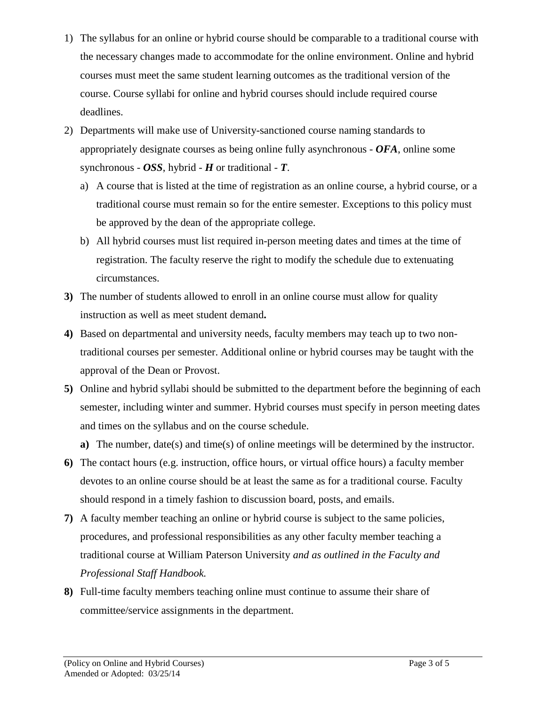- 1) The syllabus for an online or hybrid course should be comparable to a traditional course with the necessary changes made to accommodate for the online environment. Online and hybrid courses must meet the same student learning outcomes as the traditional version of the course. Course syllabi for online and hybrid courses should include required course deadlines.
- 2) Departments will make use of University-sanctioned course naming standards to appropriately designate courses as being online fully asynchronous - *OFA*, online some synchronous -  $OSS$ , hybrid -  $H$  or traditional -  $T$ .
	- a) A course that is listed at the time of registration as an online course, a hybrid course, or a traditional course must remain so for the entire semester. Exceptions to this policy must be approved by the dean of the appropriate college.
	- b) All hybrid courses must list required in-person meeting dates and times at the time of registration. The faculty reserve the right to modify the schedule due to extenuating circumstances.
- **3)** The number of students allowed to enroll in an online course must allow for quality instruction as well as meet student demand**.**
- **4)** Based on departmental and university needs, faculty members may teach up to two nontraditional courses per semester. Additional online or hybrid courses may be taught with the approval of the Dean or Provost.
- **5)** Online and hybrid syllabi should be submitted to the department before the beginning of each semester, including winter and summer. Hybrid courses must specify in person meeting dates and times on the syllabus and on the course schedule.
	- **a**) The number, date(s) and time(s) of online meetings will be determined by the instructor.
- **6)** The contact hours (e.g. instruction, office hours, or virtual office hours) a faculty member devotes to an online course should be at least the same as for a traditional course. Faculty should respond in a timely fashion to discussion board, posts, and emails.
- **7)** A faculty member teaching an online or hybrid course is subject to the same policies, procedures, and professional responsibilities as any other faculty member teaching a traditional course at William Paterson University *and as outlined in the Faculty and Professional Staff Handbook.*
- **8)** Full-time faculty members teaching online must continue to assume their share of committee/service assignments in the department.